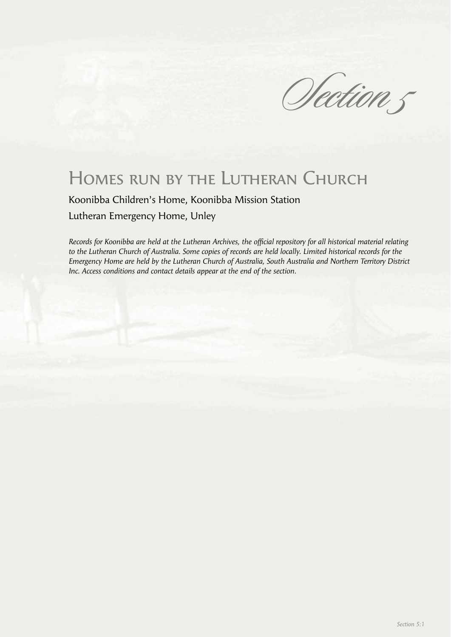Olection 5

# Homes run by the Lutheran Church

Koonibba Children's Home, Koonibba Mission Station Lutheran Emergency Home, Unley

*Records for Koonibba are held at the Lutheran Archives, the official repository for all historical material relating to the Lutheran Church of Australia. Some copies of records are held locally. Limited historical records for the Emergency Home are held by the Lutheran Church of Australia, South Australia and Northern Territory District Inc. Access conditions and contact details appear at the end of the section.*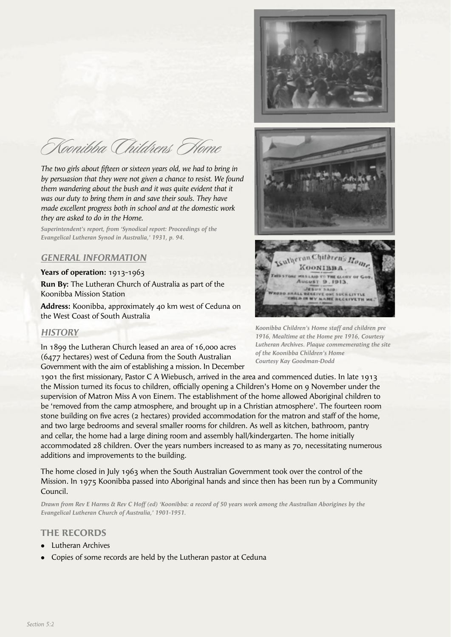

Koonibba Childrens Home

The two girls about fifteen or sixteen years old, we had to bring in *by persuasion that they were not given a chance to resist. We found them wandering about the bush and it was quite evident that it was our duty to bring them in and save their souls. They have made excellent progress both in school and at the domestic work they are asked to do in the Home.*

*Superintendent's report, from 'Synodical report: Proceedings of the Evangelical Lutheran Synod in Australia,' 1931, p. 94.*

## *GENERAL INFORMATION*

#### **Years of operation:** 1913-1963

**Run By:** The Lutheran Church of Australia as part of the Koonibba Mission Station

**Address:** Koonibba, approximately 40 km west of Ceduna on the West Coast of South Australia

## *HISTORY*

In 1899 the Lutheran Church leased an area of 16,000 acres (6477 hectares) west of Ceduna from the South Australian Government with the aim of establishing a mission. In December

1901 the first missionary, Pastor C A Wiebusch, arrived in the area and commenced duties. In late 1913 the Mission turned its focus to children, officially opening a Children's Home on 9 November under the supervision of Matron Miss A von Einem. The establishment of the home allowed Aboriginal children to be 'removed from the camp atmosphere, and brought up in a Christian atmosphere'. The fourteen room stone building on five acres (2 hectares) provided accommodation for the matron and staff of the home, and two large bedrooms and several smaller rooms for children. As well as kitchen, bathroom, pantry and cellar, the home had a large dining room and assembly hall/kindergarten. The home initially accommodated 28 children. Over the years numbers increased to as many as 70, necessitating numerous additions and improvements to the building.

The home closed in July 1963 when the South Australian Government took over the control of the Mission. In 1975 Koonibba passed into Aboriginal hands and since then has been run by a Community Council.

*Drawn from Rev E Harms & Rev C Hoff (ed) 'Koonibba: a record of 50 years work among the Australian Aborigines by the Evangelical Lutheran Church of Australia,' 1901-1951.* 

#### **THE RECORDS**

- <sup>l</sup> Lutheran Archives
- Copies of some records are held by the Lutheran pastor at Ceduna

*Koonibba Children's Home staff and children pre 1916, Mealtime at the Home pre 1916, Courtesy Lutheran Archives. Plaque commemerating the site of the Koonibba Children's Home Courtesy Kay Goodman-Dodd*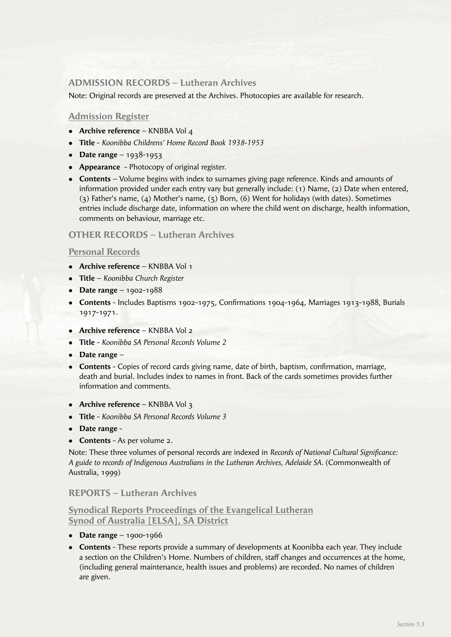## **ADMISSION RECORDS – Lutheran Archives**

Note: Original records are preserved at the Archives. Photocopies are available for research.

## **Admission Register**

- **Archive reference** KNBBA Vol 4
- <sup>l</sup> **Title** *Koonibba Childrens' Home Record Book 1938-1953*
- **•** Date range  $1938-1953$
- **Appearance** Photocopy of original register.
- **Contents** Volume begins with index to surnames giving page reference. Kinds and amounts of information provided under each entry vary but generally include: (1) Name, (2) Date when entered, (3) Father's name, (4) Mother's name, (5) Born, (6) Went for holidays (with dates). Sometimes entries include discharge date, information on where the child went on discharge, health information, comments on behaviour, marriage etc.

## **OTHER RECORDS – Lutheran Archives**

## **Personal Records**

- **Archive reference** KNBBA Vol 1
- <sup>l</sup> **Title** *Koonibba Church Register*
- **•** Date range 1902-1988
- Contents Includes Baptisms 1902-1975, Confirmations 1904-1964, Marriages 1913-1988, Burials 1917-1971.
- **Archive reference** KNBBA Vol 2
- **Title** *Koonibba SA Personal Records Volume 2*
- Date range –
- **Contents** Copies of record cards giving name, date of birth, baptism, confirmation, marriage, death and burial. Includes index to names in front. Back of the cards sometimes provides further information and comments.
- **Archive reference** KNBBA Vol 3
- <sup>l</sup> **Title** *Koonibba SA Personal Records Volume 3*
- **•** Date range -
- **Contents** As per volume 2.

Note: These three volumes of personal records are indexed in *Records of National Cultural Significance*: *A guide to records of Indigenous Australians in the Lutheran Archives, Adelaide SA.* (Commonwealth of Australia, 1999)

## **REPORTS – Lutheran Archives**

**Synodical Reports Proceedings of the Evangelical Lutheran Synod of Australia [ELSA], SA District**

- $\bullet$  **Date range** 1900-1966
- **Contents** These reports provide a summary of developments at Koonibba each year. They include a section on the Children's Home. Numbers of children, staff changes and occurrences at the home, (including general maintenance, health issues and problems) are recorded. No names of children are given.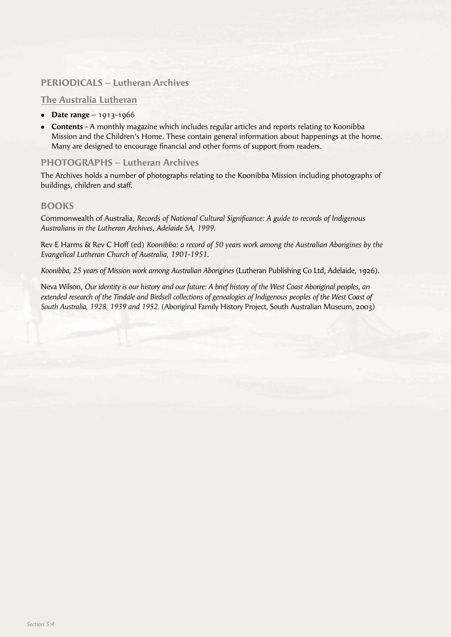# **PERIODICALS – Lutheran Archives**

## **The Australia Lutheran**

- **•** Date range 1913-1966
- **Contents** A monthly magazine which includes regular articles and reports relating to Koonibba Mission and the Children's Home. These contain general information about happenings at the home. Many are designed to encourage financial and other forms of support from readers.

## **PHOTOGRAPHS – Lutheran Archives**

The Archives holds a number of photographs relating to the Koonibba Mission including photographs of buildings, children and staff.

## **BOOKS**

Commonwealth of Australia, *Records of National Cultural Signifi cance: A guide to records of Indigenous Australians in the Lutheran Archives, Adelaide SA, 1999.*

Rev E Harms & Rev C Hoff (ed) *Koonibba: a record of 50 years work among the Australian Aborigines by the Evangelical Lutheran Church of Australia, 1901-1951.*

*Koonibba, 25 years of Mission work among Australian Aborigines* (Lutheran Publishing Co Ltd, Adelaide, 1926).

Neva Wilson, *Our identity is our history and our future: A brief history of the West Coast Aboriginal peoples, an extended research of the Tindale and Birdsell collections of genealogies of Indigenous peoples of the West Coast of South Australia, 1928, 1939 and 1952.* (Aboriginal Family History Project, South Australian Museum, 2003)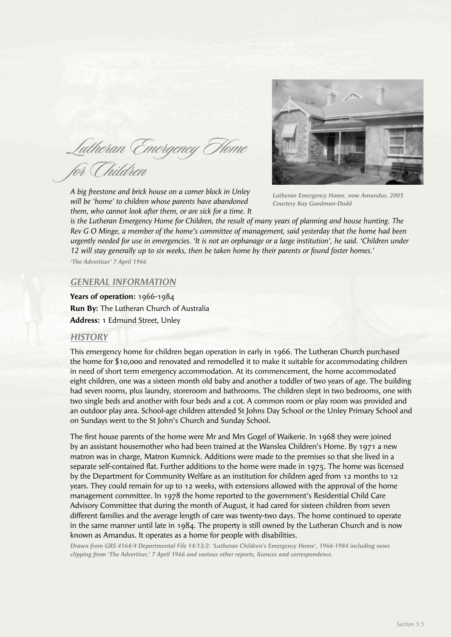Lutheran Emergency Home for Children

*A big freestone and brick house on a corner block in Unley will be 'home' to children whose parents have abandoned them, who cannot look after them, or are sick for a time. It* 



*Lutheran Emergency Home, now Amandus, 2005 Courtesy Kay Goodman-Dodd*

*is the Lutheran Emergency Home for Children, the result of many years of planning and house hunting. The Rev G O Minge, a member of the home's committee of management, said yesterday that the home had been urgently needed for use in emergencies. 'It is not an orphanage or a large institution', he said. 'Children under 12 will stay generally up to six weeks, then be taken home by their parents or found foster homes.'*

*'The Advertiser' 7 April 1966*

#### *GENERAL INFORMATION*

**Years of operation:** 1966-1984 **Run By:** The Lutheran Church of Australia **Address:** 1 Edmund Street, Unley

#### *HISTORY*

This emergency home for children began operation in early in 1966. The Lutheran Church purchased the home for \$10,000 and renovated and remodelled it to make it suitable for accommodating children in need of short term emergency accommodation. At its commencement, the home accommodated eight children, one was a sixteen month old baby and another a toddler of two years of age. The building had seven rooms, plus laundry, storeroom and bathrooms. The children slept in two bedrooms, one with two single beds and another with four beds and a cot. A common room or play room was provided and an outdoor play area. School-age children attended St Johns Day School or the Unley Primary School and on Sundays went to the St John's Church and Sunday School.

The first house parents of the home were Mr and Mrs Gogel of Waikerie. In 1968 they were joined by an assistant housemother who had been trained at the Wanslea Children's Home. By 1971 a new matron was in charge, Matron Kumnick. Additions were made to the premises so that she lived in a separate self-contained flat. Further additions to the home were made in 1975. The home was licensed by the Department for Community Welfare as an institution for children aged from 12 months to 12 years. They could remain for up to 12 weeks, with extensions allowed with the approval of the home management committee. In 1978 the home reported to the government's Residential Child Care Advisory Committee that during the month of August, it had cared for sixteen children from seven different families and the average length of care was twenty-two days. The home continued to operate in the same manner until late in 1984. The property is still owned by the Lutheran Church and is now known as Amandus. It operates as a home for people with disabilities.

*Drawn from GRS 4164/4 Departmental File 14/13/2: 'Lutheran Children's Emergency Home', 1966-1984 including news clipping from 'The Advertiser,' 7 April 1966 and various other reports, licences and correspondence.*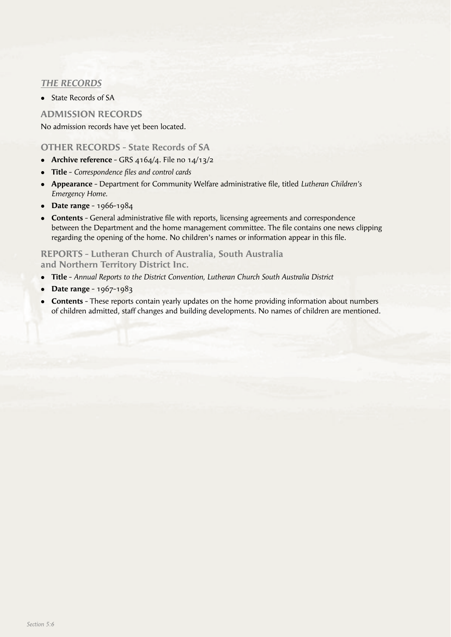# *THE RECORDS*

• State Records of SA

## **ADMISSION RECORDS**

No admission records have yet been located.

## **OTHER RECORDS - State Records of SA**

- Archive reference GRS 4164/4. File no 14/13/2
- **Title** *Correspondence files and control cards*
- **Appearance** Department for Community Welfare administrative file, titled *Lutheran Children's Emergency Home.*
- **•** Date range 1966-1984
- **Contents** General administrative file with reports, licensing agreements and correspondence between the Department and the home management committee. The file contains one news clipping regarding the opening of the home. No children's names or information appear in this file.

## **REPORTS - Lutheran Church of Australia, South Australia and Northern Territory District Inc.**

- **Title** *Annual Reports to the District Convention, Lutheran Church South Australia District*
- **•** Date range 1967-1983
- **Contents** These reports contain yearly updates on the home providing information about numbers of children admitted, staff changes and building developments. No names of children are mentioned.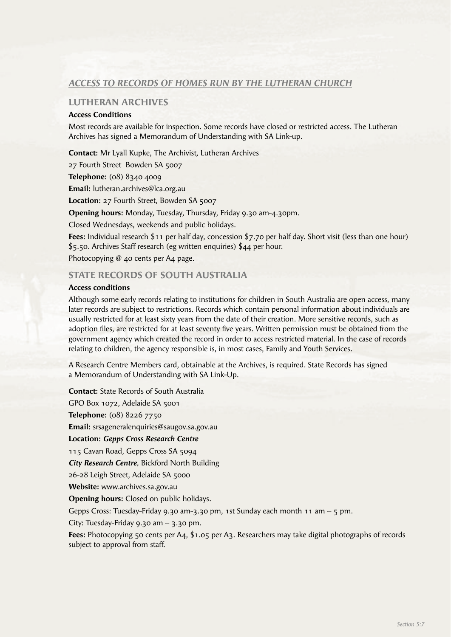# *ACCESS TO RECORDS OF HOMES RUN BY THE LUTHERAN CHURCH*

## **LUTHERAN ARCHIVES**

#### **Access Conditions**

Most records are available for inspection. Some records have closed or restricted access. The Lutheran Archives has signed a Memorandum of Understanding with SA Link-up.

**Contact:** Mr Lyall Kupke, The Archivist, Lutheran Archives

27 Fourth Street Bowden SA 5007

**Telephone:** (08) 8340 4009

**Email:** lutheran.archives@lca.org.au

**Location:** 27 Fourth Street, Bowden SA 5007

**Opening hours:** Monday, Tuesday, Thursday, Friday 9.30 am-4.30pm.

Closed Wednesdays, weekends and public holidays.

**Fees:** Individual research \$11 per half day, concession \$7.70 per half day. Short visit (less than one hour) \$5.50. Archives Staff research (eg written enquiries) \$44 per hour.

Photocopying @ 40 cents per A4 page.

## **STATE RECORDS OF SOUTH AUSTRALIA**

#### **Access conditions**

Although some early records relating to institutions for children in South Australia are open access, many later records are subject to restrictions. Records which contain personal information about individuals are usually restricted for at least sixty years from the date of their creation. More sensitive records, such as adoption files, are restricted for at least seventy five years. Written permission must be obtained from the government agency which created the record in order to access restricted material. In the case of records relating to children, the agency responsible is, in most cases, Family and Youth Services.

A Research Centre Members card, obtainable at the Archives, is required. State Records has signed a Memorandum of Understanding with SA Link-Up.

**Contact:** State Records of South Australia GPO Box 1072, Adelaide SA 5001 **Telephone:** (08) 8226 7750 **Email:** srsageneralenquiries@saugov.sa.gov.au **Location:** *Gepps Cross Research Centre* 115 Cavan Road, Gepps Cross SA 5094 *City Research Centre,* Bickford North Building 26-28 Leigh Street, Adelaide SA 5000 **Website:** www.archives.sa.gov.au **Opening hours:** Closed on public holidays. Gepps Cross: Tuesday-Friday 9.30 am-3.30 pm, 1st Sunday each month 11 am – 5 pm. City: Tuesday-Friday 9.30 am – 3.30 pm. **Fees:** Photocopying 50 cents per A4, \$1.05 per A3. Researchers may take digital photographs of records subject to approval from staff.